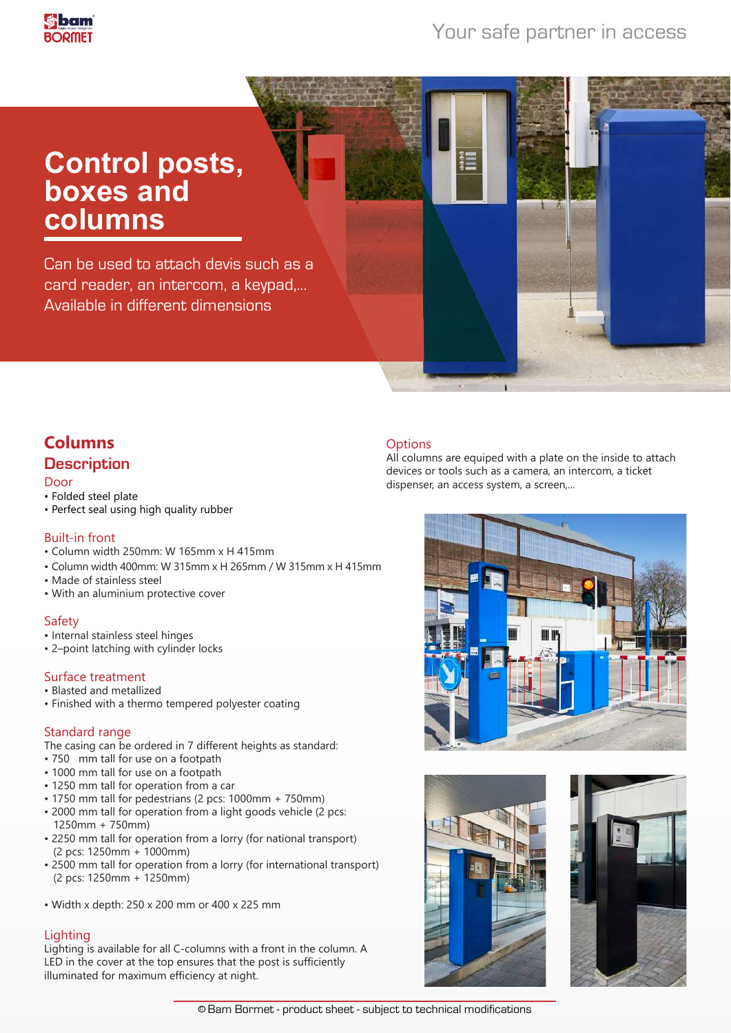## Your safe partner in access

# **Control posts, boxes and columns**

Can be used to attach devis such as a card reader, an intercom, a keypad,... Available in different dimensions

## **Columns Description**

#### Door

- Folded steel plate
- Perfect seal using high quality rubber

#### Built-in front

- Column width 250mm: W 165mm x H 415mm
- Column width 400mm: W 315mm x H 265mm / W 315mm x H 415mm
- Made of stainless steel
- With an aluminium protective cover

### Safety

- Internal stainless steel hinges
- 2–point latching with cylinder locks

### Surface treatment

- Blasted and metallized
- Finished with a thermo tempered polyester coating

#### Standard range

- The casing can be ordered in 7 different heights as standard:
- 750 mm tall for use on a footpath
- 1000 mm tall for use on a footpath
- 1250 mm tall for operation from a car
- 1750 mm tall for pedestrians (2 pcs: 1000mm + 750mm)
- 2000 mm tall for operation from a light goods vehicle (2 pcs: 1250mm + 750mm)
- 2250 mm tall for operation from a lorry (for national transport) (2 pcs: 1250mm + 1000mm)
- 2500 mm tall for operation from a lorry (for international transport) (2 pcs: 1250mm + 1250mm)
- Width x depth: 250 x 200 mm or 400 x 225 mm

### **Lighting**

Lighting is available for all C-columns with a front in the column. A LED in the cover at the top ensures that the post is sufficiently illuminated for maximum efficiency at night.

#### **Options**

All columns are equiped with a plate on the inside to attach devices or tools such as a camera, an intercom, a ticket dispenser, an access system, a screen,...